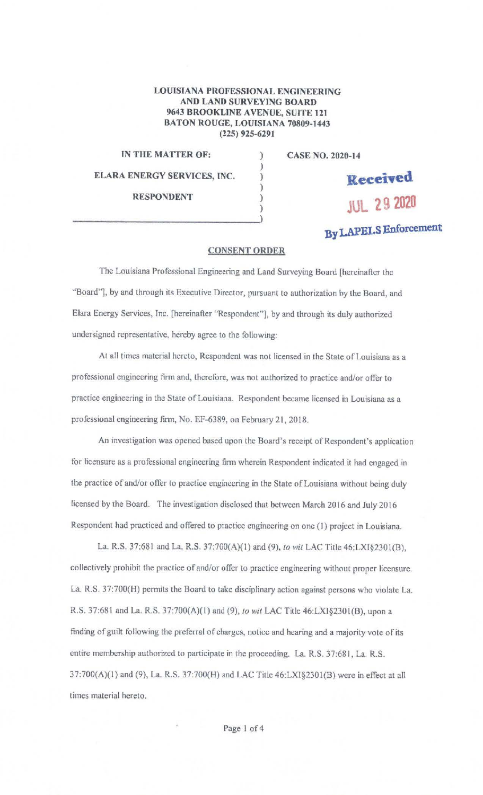## LOUISIANA PROFESSIONAL ENGINEERING AND LAND SURVEYING BOARD 9643 BROOKLINE AVENUE, SUITE 121 BATON ROUGE, LOUISIANA 70809-1443 (225) 925-6291

) ) ) ) )

## IN THE MATTER OF: (1) ELARA ENERGY SERVICES, INC. RESPONDENT

CASE NO. 2020-14

**Kecei•ed JUL 29 2020** 

## **By LAPELS Enforcement**

## **CONSENT ORDER**

The Louisiana Professional Engineering and Land Surveying Board [hereinafter the "Board"], by and through its Executive Director, pursuant to authorization by the Board, and Elara Energy Services, Inc. [hereinafter "Respondent"], by and through its duly authorized undersigned representative, hereby agree to the following:

At all times material hereto, Respondent was not licensed in the State of Louisiana as a professional engineering firm and, therefore, was not authorized to practice and/or offer to practice engineering in the State of Louisiana. Respondent became licensed in Louisiana as a professional engineering firm, No. EF-6389, on February 21, 2018.

An investigation was opened based upon the Board's receipt of Respondent's application for licensure as a professional engineering firm wherein Respondent indicated it had engaged in the practice of and/or offer to practice engineering in the State of Louisiana without being duly licensed by the Board. The investigation disclosed that between March 2016 and July 2016 Respondent had practiced and offered to practice engineering on one (I) project in Louisiana.

La. R.S. 37:681 and La. R.S. 37:700(A)(l) and (9), *to wit* LAC Title 46:LXI§230I(B), collectively prohibit the practice of and/or offer to practice engineering without proper licensure. La. R.S. 37:700(H) pennits the Board to take disciplinary action against persons who violate La. R.S. 37:681 and La. R.S. 37:700(A)(l) and (9), lo *wit* LAC Title 46:LXI§230l(B), upon a finding of guilt following the preferral of charges, notice and hearing and a majority vote of its entire membership authorized to participate in the proceeding. La. R.S. 37:681, La. R.S. 37:?00(A)(l) and (9), La. R.S. 37:700(H) and LAC Title 46:LX1§230l(B) were in effect at all times material hereto.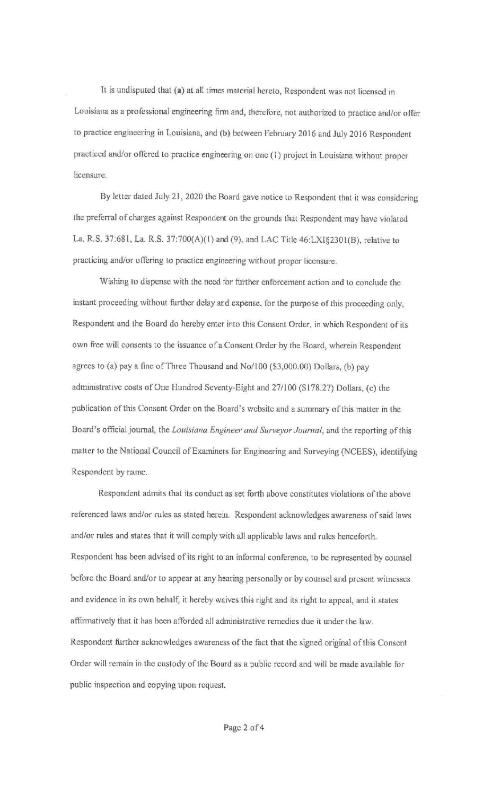lt is undisputed that (a) at all times material hereto, Respondent was not licensed in Louisiana as a professional engineering finn and, therefore, not authorized to practice and/or offer to practice engineering in Louisiana, and (b) between February 2016 and July 2016 Respondent practiced and/or offered to practice engineering on one (I) project in Louisiana without proper licensure.

By letter dated July 21, 2020 the Board gave notice to Respondent that it was considering the preferral of charges against Respondent on the grounds that Respondent may have violated La. R.S. 37:68 l, La. R.S. 37:?00(A)(l) and (9), and LAC Title 46:LXI§230l(B), relative to practicing and/or offering to practice engineering without proper licensure.

Wishing to dispense with the need for further enforcement action and to conclude the instant proceeding without further delay and expense. for the purpose of this proceeding only, Respondent and the Board do hereby enter into this Consent Order. in which Respondent of its own free will consents to the issuance of a Consent Order by the Board, wherein Respondent agrees to (a) pay a fine of Three Thousand and No/I 00 (\$3,000.00) Dollars, (b) pay administrative costs of One Hundred Seventy-Eight and 27/100 (\$178.27) Dollars, (c) lhe publication of this Consent Order on the Board's website and a summary of this matter in the Board's official journal, the *Louisiana Engineer and Surveyor Journal*, and the reporting of this matter to the National Council of Examiners for Engineering and Surveying (NCEES), identifying Respondent by name.

Respondent admits that its conduct as set forth above constitutes violations of the above referenced laws and/or rules as stated herein. Respondent acknowledges awareness of said laws and/or rules and states that it will comply with all applicable laws and rules henceforth. Respondent has been advised of its right to an informal conference, to be represented by counsel before the Board and/or to appear at any hearing personally or by counsel and present witnesses and evidence in its own behalf, it hereby waives this right and its right to appeal, and il states affirmatively that it has been afforded all administrative remedies due it under the law. Respondent further acknowledges awareness of the fact that the signed original of this Consent Order will remain in the custody of the Board as a public record and will be made available for public inspection and copying upon request.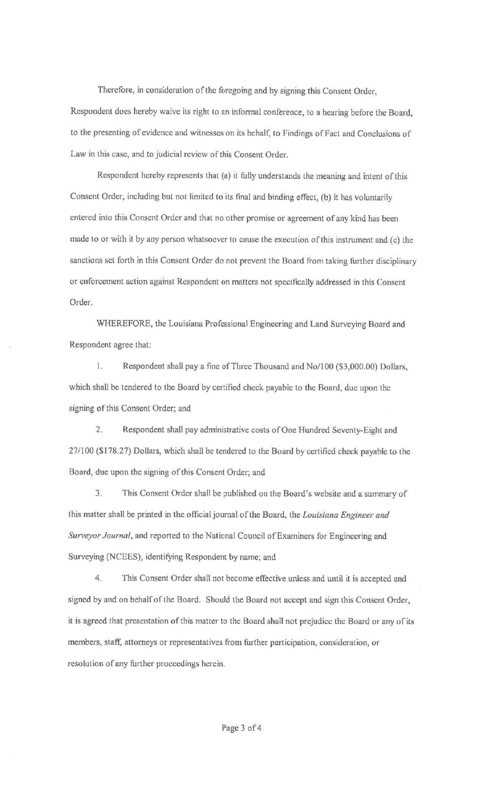Therefore, in consideration of the foregoing and by signing this Consent Order, Respondent does hereby waive its right to an informal conference, to a hearing before the Board, to the presenting of evidence and witnesses on its behalf, to Findings of Fact and Conclusions of Law in this case, and to judicial review of this Consent Order.

Respondent hereby represents that (a) it fully understands the meaning and intent of this Consent Order, including but not limited to its final and binding effect, (b) it has voluntarily entered into this Consent Order and that no other promise or agreement of any kind has been made to or with it by any person whatsoever to cause the execution of this instrument and (c) the sanctions set forth in this Consent Order do not prevent the Board from taking further disciplinary or enforcement action against Respondent on matters not specifically addressed in this Consent Order.

WHEREFORE, the Louisiana Professional Engineering and Land Surveying Board and Respondent agree that:

I. Respondent shall pay a fine of Three Thousand and No/100 (\$3,000.00) Dollars, which shall be tendered to the Board by certified check payable to the Board, due upon the signing of this Consent Order; and

2. Respondent shall pay administrative costs of One Hundred Seventy-Eight and 27/100 (\$178.27) Dollars, which shall be tendered to the Board by certified check payable to the Board, due upon the signing of this Consent Order; and

3. This Consent Order shall be published on the Board's website and a summary of this matter shall be printed in the official journal of the Board, the *Louisiana Engineer and Surveyor Journal,* and reported to the National Council of Examiners for Engineering and Surveying (NCEES), identifying Respondent by name; and

4. This Consent Order shall not become effective unless and until it is accepted and signed by and on behalf of the Board. Should the Board not accept and sign this Consent Order, it is agreed that presentation of this matter to the Board shall not prejudice the Board or any of its members, staff, attorneys or representatives from further participation. consideration, or resolution of any further proceedings herein.